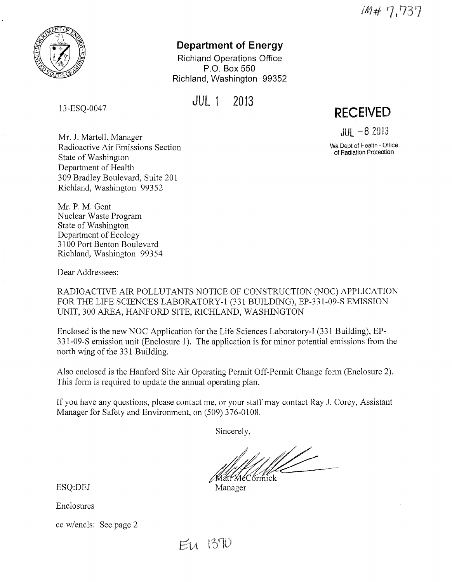IM# 7,737

**RECEIVED** 

 $JIII - 82013$ **Wa** Dept of Health - Office of Radiation Protection



# **Department of Energy**

Richland Operations Office P.O. Box 550 Richland, Washington 99352

JUL 1 2013

13-ESQ-0047

Mr. J. Martell, Manager Radioactive Air Emissions Section State of Washington Department of Health 309 Bradley Boulevard, Suite 201 Richland, Washington 99352

Mr. P. M. Gent Nuclear Waste Program State of Washington Department of Ecology 3100 Port Benton Boulevard Richland, Washington 99354

Dear Addressees:

RADIOACTIVE AIR POLLUTANTS NOTICE OF CONSTRUCTION (NOC) APPLICATION FOR THE LIFE SCIENCES LABORATORY-I (331 BUILDING), EP-331-09-S EMISSION UNIT, 300 AREA, HANFORD SITE, RICHLAND, WASHINGTON

Enclosed is the new NOC Application for the Life Sciences Laboratory-I (331 Building), EP-331-09-S emission unit (Enclosure 1). The application is for minor potential emissions from the north wing of the 331 Building.

Also enclosed is the Hanford Site Air Operating Permit Off-Permit Change form (Enclosure 2). This form is required to update the annual operating plan.

If you have any questions, please contact me, or your staff may contact Ray J. Corey, Assistant Manager for Safety and Environment, on (509) 376-0108.

Sincerely,

Matt MeCormick

ESQ:DEJ Manager

Enclosures

cc w/encls: See page 2

EU 1370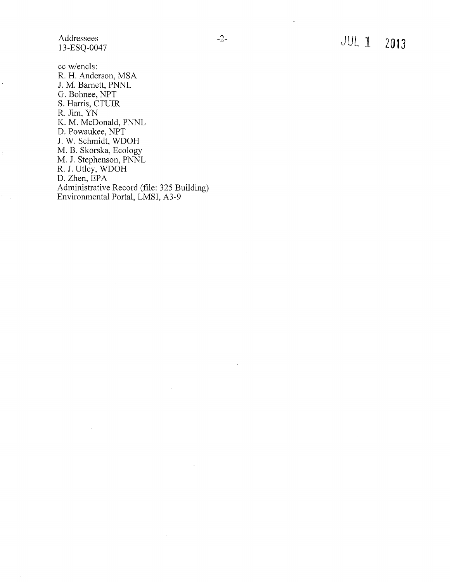Addressees 13-ESQ-0047

 $\overline{\phantom{a}}$ 

cc w/encls: R. H. Anderson, MSA J. M. Barnett, PNNL G. Bohnee, NPT S. Harris, CTUIR R. Jim, YN K. M. McDonald, PNNL D. Powaukee, NPT J. W. Schmidt, WDOH M. B. Skorska, Ecology M. J. Stephenson, PNNL R. J. Utley, WDOH D. Zhen, EPA Administrative Record (file: 325 Building) Environmental Portal, LMSI, A3-9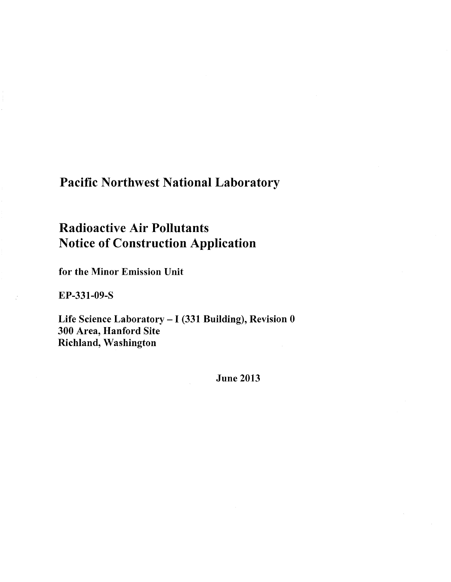# Pacific Northwest National Laboratory

# Radioactive Air Pollutants Notice of Construction Application

for the Minor Emission Unit

EP-331-09-S

Life Science Laboratory - I (331 Building), Revision 0 300 Area, Hanford Site Richland, Washington

June 2013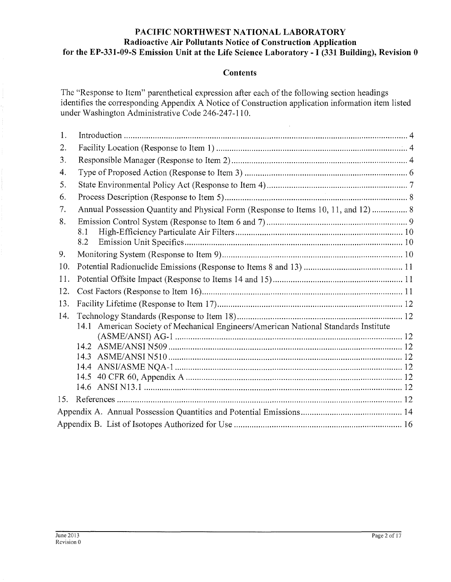#### **PACIFIC NORTHWEST NATIONAL LABORATORY Radioactive Air Pollutants Notice of Construction Application for the EP-331-09-S Emission Unit at the Life Science Laboratory** - I **(331 Building), Revision 0**

#### **Contents**

The "Response to Item" parenthetical expression after each of the following section headings identifies the corresponding Appendix A Notice of Construction application information item listed under Washington Administrative Code 246-247-110.

l.

| 1.  |                                                                                        |
|-----|----------------------------------------------------------------------------------------|
| 2.  |                                                                                        |
| 3.  |                                                                                        |
| 4.  |                                                                                        |
| 5.  |                                                                                        |
| 6.  |                                                                                        |
| 7.  | Annual Possession Quantity and Physical Form (Response to Items 10, 11, and 12)  8     |
| 8.  |                                                                                        |
|     | 8.1                                                                                    |
|     | 8.2                                                                                    |
| 9.  |                                                                                        |
| 10. |                                                                                        |
| 11. |                                                                                        |
| 12. |                                                                                        |
| 13. |                                                                                        |
| 14. |                                                                                        |
|     | American Society of Mechanical Engineers/American National Standards Institute<br>14.1 |
|     |                                                                                        |
|     |                                                                                        |
|     |                                                                                        |
|     |                                                                                        |
|     |                                                                                        |
|     |                                                                                        |
| 15. |                                                                                        |
|     |                                                                                        |
|     |                                                                                        |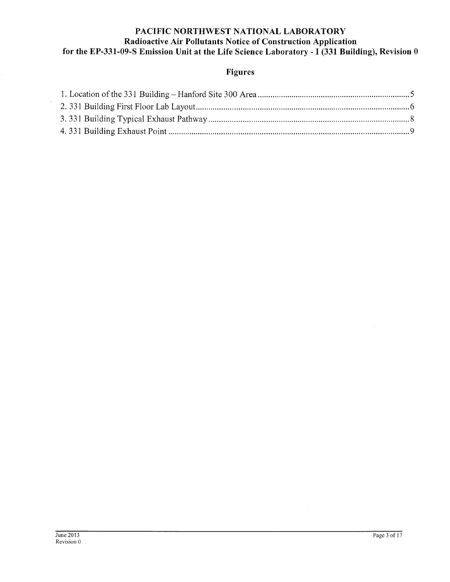## **PACIFIC NORTHWEST NATIONAL LABORATORY Radioactive Air Pollutants Notice of Construction Application for the EP-331-09-S Emission Unit at the Life Science Laboratory** - I **(331 Building), Revision 0**

# **Figures**

 $\cdot$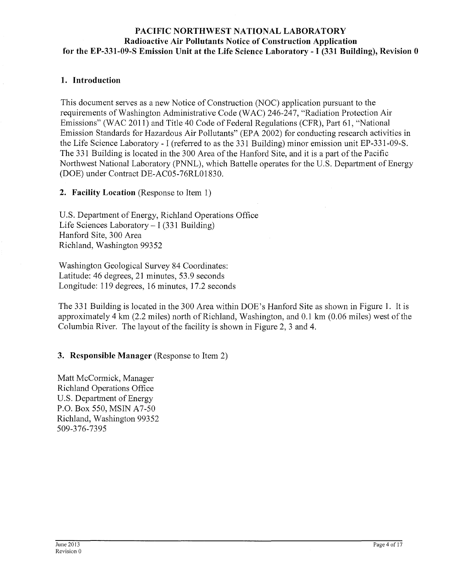#### **PACIFIC NORTHWEST NATIONAL LABORATORY Radioactive Air Pollutants Notice of Construction Application for the EP-331-09-S Emission Unit at the Life Science Laboratory** - I **(331 Building), Revision 0**

#### **1. Introduction**

This document serves as a new Notice of Constrnction (NOC) application pursuant to the requirements of Washington Administrative Code (WAC) 246-247, "Radiation Protection Air Emissions" (WAC 2011) and Title 40 Code of Federal Regulations (CFR), Part 61, "National Emission Standards for Hazardous Air Pollutants" (EPA 2002) for conducting research activities in the Life Science Laboratory - I (referred to as the 331 Building) minor emission unit EP-331-09-S. The 331 Building is located in the 300 Area of the Hanford Site, and it is a part of the Pacific Northwest National Laboratory (PNNL), which Battelle operates for the U.S. Department of Energy (DOE) under Contract DE-AC05-76RL01830.

**2. Facility Location** (Response to Item 1)

U.S. Department of Energy, Richland Operations Office Life Sciences Laboratory- I (331 Building) Hanford Site, 300 Area Richland, Washington 99352

Washington Geological Survey 84 Coordinates: Latitude: 46 degrees, 21 minutes, 53.9 seconds Longitude: 119 degrees, 16 minutes, 17.2 seconds

The 331 Building is located in the 300 Area within DOE's Hanford Site as shown in Figure 1. It is approximately 4 km (2.2 miles) north of Richland, Washington, and 0.1 km (0.06 miles) west of the Columbia River. The layout of the facility is shown in Figure 2, 3 and 4.

#### **3. Responsible Manager** (Response to Item 2)

Matt McCormick, Manager Richland Operations Office U.S. Department of Energy P.O. Box 550, MSIN A7-50 Richland, Washington 99352 509-376-7395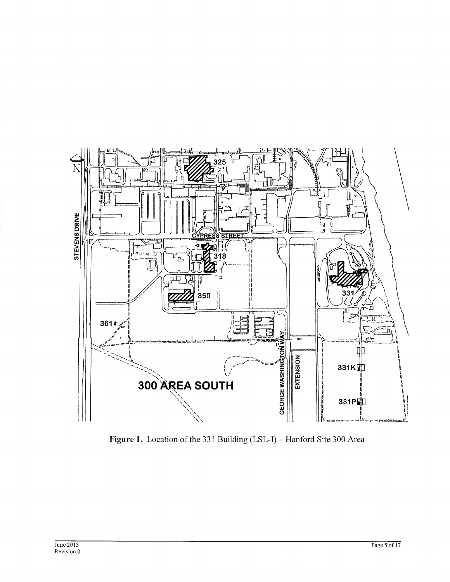

Figure 1. Location of the 331 Building (LSL-I) - Hanford Site 300 Area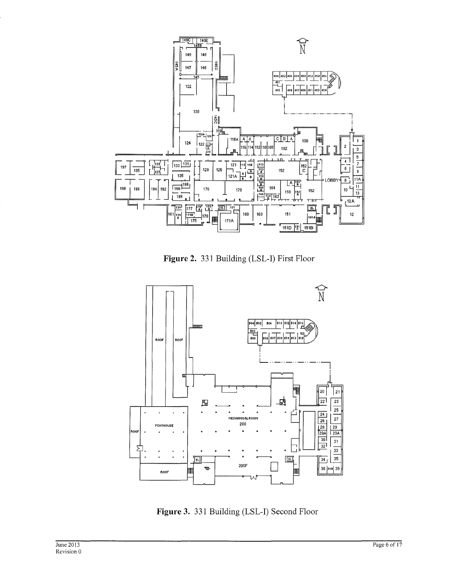

**Figure 2.** 331 Building (LSL-I) First Floor



**Figure 3.** 331 Building (LSL-I) Second Floor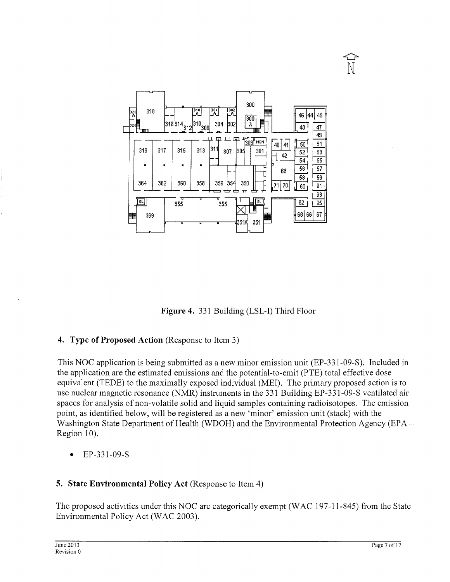

**Figure 4.** 331 Building (LSL-I) Third Floor

# **4. Type of Proposed Action** (Response to Item 3)

This NOC application is being submitted as a new minor emission unit (EP-331-09-S). Included in the application are the estimated emissions and the potential-to-emit (PTE) total effective dose equivalent (TEDE) to the maximally exposed individual (MEI). The primary proposed action is to use nuclear magnetic resonance (NMR) instruments in the 331 Building EP-331-09-S ventilated air spaces for analysis of non-volatile solid and liquid samples containing radioisotopes. The emission point, as identified below, will be registered as a new 'minor' emission unit (stack) with the Washington State Department of Health (WDOH) and the Environmental Protection Agency (EPA -Region 10).

• EP-331-09-S

# **5. State Environmental Policy Act** (Response to Item 4)

The proposed activities under this NOC are categorically exempt (WAC 197-11-845) from the State Environmental Policy Act (WAC 2003).

 $\widehat{\mathbb{P}}$ N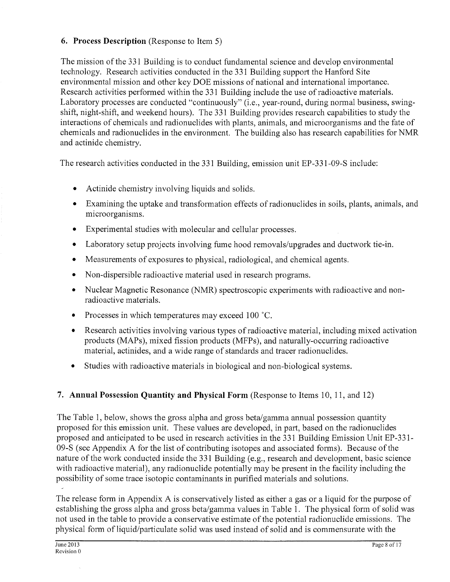#### **6. Process Description** (Response to Item 5)

The mission of the 331 Building is to conduct fundamental science and develop environmental technology. Research activities conducted in the 331 Building support the Hanford Site environmental mission and other key DOE missions of national and international importance. Research activities performed within the 331 Building include the use of radioactive materials. Laboratory processes are conducted "continuously" (i.e., year-round, during normal business, swingshift, night-shift, and weekend hours). The 331 Building provides research capabilities to study the interactions of chemicals and radionuclides with plants, animals, and microorganisms and the fate of chemicals and radionuclides in the environment. The building also has research capabilities for NMR and actinide chemistry.

The research activities conducted in the 331 Building, emission unit EP-331-09-S include:

- Actinide chemistry involving liquids and solids.
- Examining the uptake and transformation effects of radionuclides in soils, plants, animals, and microorganisms.
- Experimental studies with molecular and cellular processes.
- Laboratory setup projects involving fume hood removals/upgrades and ductwork tie-in.
- Measurements of exposures to physical, radiological, and chemical agents.
- Non-dispersible radioactive material used in research programs.
- Nuclear Magnetic Resonance (NMR) spectroscopic experiments with radioactive and nonradioactive materials.
- Processes in which temperatures may exceed 100 °C.
- Research activities involving various types of radioactive material, including mixed activation products (MAPs), mixed fission products (MFPs), and naturally-occurring radioactive material, actinides, and a wide range of standards and tracer radionuclides.
- Studies with radioactive materials in biological and non-biological systems.

# **7. Annual Possession Quantity and Physical Form** (Response to Items 10, 11, and 12)

The Table 1, below, shows the gross alpha and gross beta/gamma annual possession quantity proposed for this emission unit. These values are developed, in part, based on the radionuclides proposed and anticipated to be used in research activities in the 331 Building Emission Unit EP-331- 09-S (see Appendix A for the list of contributing isotopes and associated forms). Because of the nature of the work conducted inside the 331 Building (e.g., research and development, basic science with radioactive material), any radionuclide potentially may be present in the facility including the possibility of some trace isotopic contaminants in purified materials and solutions.

The release form in Appendix A is conservatively listed as either a gas or a liquid for the purpose of establishing the gross alpha and gross beta/gamma values in Table 1. The physical form of solid was not used in the table to provide a conservative estimate of the potential radionuclide emissions. The physical form of liquid/particulate solid was used instead of solid and is commensurate with the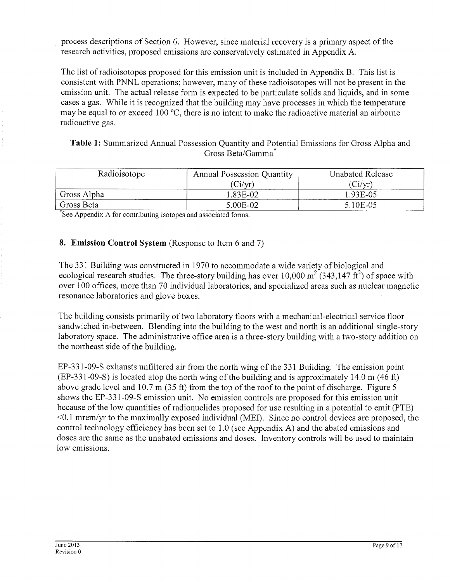process descriptions of Section 6. However, since material recovery is a primary aspect of the research activities, proposed emissions are conservatively estimated in Appendix A.

The list of radioisotopes proposed for this emission unit is included in Appendix B. This list is consistent with PNNL operations; however, many of these radioisotopes will not be present in the emission unit. The actual release form is expected to be particulate solids and liquids, and in some cases a gas. While it is recognized that the building may have processes in which the temperature may be equal to or exceed 100 °C, there is no intent to make the radioactive material an airborne radioactive gas.

**Table 1:** Summarized Annual Possession Quantity and Potential Emissions for Gross Alpha and Gross Beta/Gamma\*

| Radioisotope | <b>Annual Possession Quantity</b> | <b>Unabated Release</b> |  |  |
|--------------|-----------------------------------|-------------------------|--|--|
|              | (Ci/yr)                           | (Ci/yr)                 |  |  |
| Gross Alpha  | 1.83E-02                          | 1.93E-05                |  |  |
| Gross Beta   | 5.00E-02                          | 5.10E-05                |  |  |

\*See Appendix A for contributing isotopes and associated forms.

### **8. Emission Control System** (Response to Item 6 and 7)

The 331 Building was constructed in 1970 to accommodate a wide variety of biological and ecological research studies. The three-story building has over  $10,000 \text{ m}^2 (343,147 \text{ ft}^2)$  of space with over 100 offices, more than 70 individual laboratories, and specialized areas such as nuclear magnetic resonance laboratories and glove boxes.

The building consists primarily of two laboratory floors with a mechanical-electrical service floor sandwiched in-between. Blending into the building to the west and north is an additional single-story laboratory space. The administrative office area is a three-story building with a two-story addition on the northeast side of the building.

EP-331-09-S exhausts unfiltered air from the north wing of the 331 Building. The emission point (EP-331-09-S) is located atop the north wing of the building and is approximately 14.0 m (46 ft) above grade level and  $10.7 \text{ m}$  (35 ft) from the top of the roof to the point of discharge. Figure 5 shows the EP-331-09-S emission unit. No emission controls are proposed for this emission unit because of the low quantities of radionuclides proposed for use resulting in a potential to emit (PTE)  $\leq 0.1$  mrem/yr to the maximally exposed individual (MEI). Since no control devices are proposed, the control technology efficiency has been set to 1.0 (see Appendix A) and the abated emissions and doses are the same as the unabated emissions and doses. Inventory controls will be used to maintain low emissions.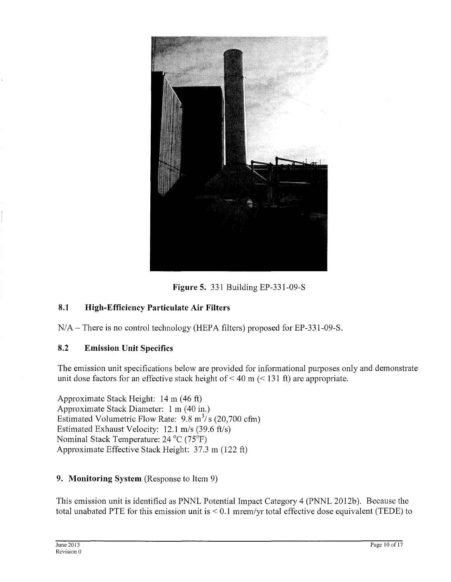

**Figure 5.** 331 Building EP-331-09-S

# **8.1 High-Efficiency Particulate Air Filters**

 $N/A$  – There is no control technology (HEPA filters) proposed for EP-331-09-S.

#### **8.2 Emission Unit Specifics**

The emission unit specifications below are provided for informational purposes only and demonstrate unit dose factors for an effective stack height of  $\leq 40$  m ( $\leq 131$  ft) are appropriate.

Approximate Stack Height: 14 m (46 ft) Approximate Stack Diameter: 1 m (40 in.) Estimated Volumetric Flow Rate:  $9.8 \text{ m}^3/\text{s}$  (20,700 cfm) Estimated Exhaust Velocity:  $12.1 \text{ m/s}$  (39.6 ft/s) Nominal Stack Temperature: 24 °C (75°F) Approximate Effective Stack Height: 37.3 m (122 ft)

#### **9. Monitoring System** (Response to Item 9)

This emission unit is identified as PNNL Potential Impact Category 4 (PNNL 2012b). Because the total unabated PTE for this emission unit is  $< 0.1$  mrem/yr total effective dose equivalent (TEDE) to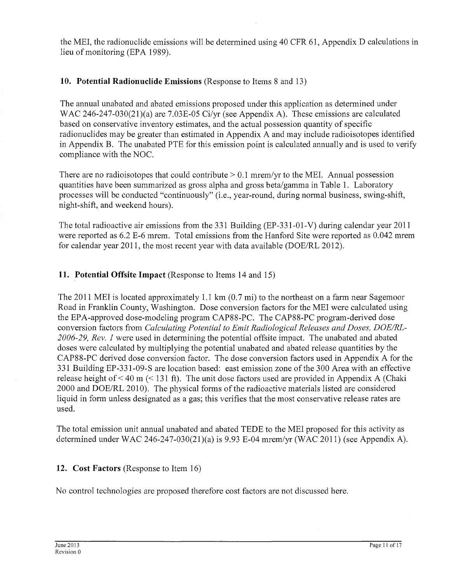the MEI, the radionuclide emissions will be determined using 40 CFR 61, Appendix D calculations in lieu of monitoring (EPA 1989).

### **10. Potential Radionuclide Emissions** (Response to Items 8 and 13)

The annual unabated and abated emissions proposed under this application as determined under WAC 246-247-030(21)(a) are 7.03E-05 Ci/yr (see Appendix A). These emissions are calculated based on conservative inventory estimates, and the actual possession quantity of specific radionuclides may be greater than estimated in Appendix A and may include radioisotopes identified in Appendix B. The unabated PTE for this emission point is calculated annually and is used to verify compliance with the NOC.

There are no radioisotopes that could contribute  $> 0.1$  mrem/yr to the MEI. Annual possession quantities have been summarized as gross alpha and gross beta/gamma in Table 1. Laboratory processes will be conducted "continuously" (i.e., year-round, during normal business, swing-shift, night-shift, and weekend hours).

The total radioactive air emissions from the 331 Building (EP-331-01-V) during calendar year 2011 were reported as 6.2 E-6 mrem. Total emissions from the Hanford Site were reported as 0.042 mrem for calendar year 2011, the most recent year with data available (DOE/RL 2012).

#### **11. Potential Offsite Impact** (Response to Items 14 and 15)

The 2011 MEI is located approximately 1.1 km  $(0.7 \text{ mi})$  to the northeast on a farm near Sagemoor Road in Franklin County, Washington. Dose conversion factors for the MEI were calculated using the EPA-approved dose-modeling program CAP88-PC. The CAP88-PC program-derived dose conversion factors from *Calculating Potential to Emit Radiological Releases and Doses, DOEIRL-*2006-29, Rev. 1 were used in determining the potential offsite impact. The unabated and abated doses were calculated by multiplying the potential unabated and abated release quantities by the CAP88-PC derived dose conversion factor. The dose conversion factors used in Appendix A for the 331 Building EP-331-09-S are location based: east emission zone of the 300 Area with an effective release height of  $\leq 40$  m ( $\leq 131$  ft). The unit dose factors used are provided in Appendix A (Chaki 2000 and DOE/RL 2010). The physical forms of the radioactive materials listed are considered liquid in form unless designated as a gas; this verifies that the most conservative release rates are used.

The total emission unit annual unabated and abated TEDE to the MEI proposed for this activity as detennined under WAC 246-247-030(21)(a) is 9.93 E-04 mrem/yr (WAC 2011) (see Appendix A).

#### **12. Cost Factors** (Response to Item 16)

No control technologies are proposed therefore cost factors are not discussed here.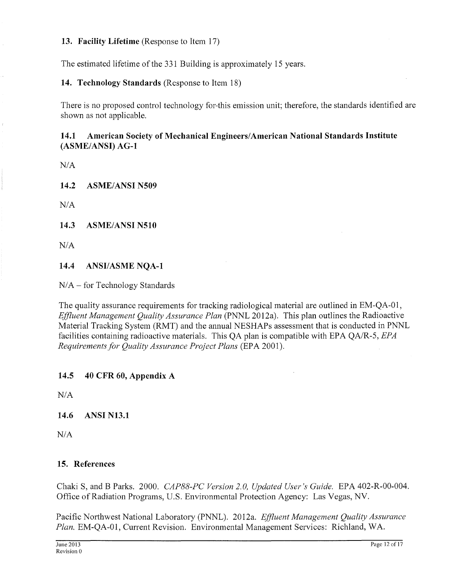#### **13. Facility Lifetime** (Response to Item 17)

The estimated lifetime of the 331 Building is approximately 15 years.

**14. Technology Standards** (Response to Item 18)

There is no proposed control technology for-this emission unit; therefore, the standards identified are shown as not applicable.

#### **14.1 American Society of Mechanical Engineers/American National Standards Institute (ASME/ ANSI) AG-1**

*NIA* 

**14.2 ASME/ANSI N509** 

*NIA* 

**14.3 ASME/ANSI N510** 

*NIA* 

**14.4 ANSI/ASME NQA-1** 

N/A- for Technology Standards

The quality assurance requirements for tracking radiological material are outlined in EM-QA-01, *Effluent Management Quality Assurance Plan* (PNNL 2012a). This plan outlines the Radioactive Material Tracking System (RMT) and the annual NESHAPs assessment that is conducted in PNNL facilities containing radioactive materials. This QA plan is compatible with EPA QA/R-5, *EPA Requirements for Quality Assurance Project Plans (EPA 2001).* 

**14.5 40 CFR 60, Appendix A** 

*NIA* 

**14.6 ANSI N13.1** 

*NIA* 

#### **15. References**

Chaki S, and B Parks. 2000. *CAP88-PC Version 2. 0, Updated User's Guide.* EPA 402-R-00-004. Office of Radiation Programs, U.S. Environmental Protection Agency: Las Vegas, NV.

Pacific Northwest National Laboratory (PNNL). 2012a. *Effluent Management Quality Assurance Plan.* EM-QA-01, Current Revision. Environmental Management Services: Richland, WA.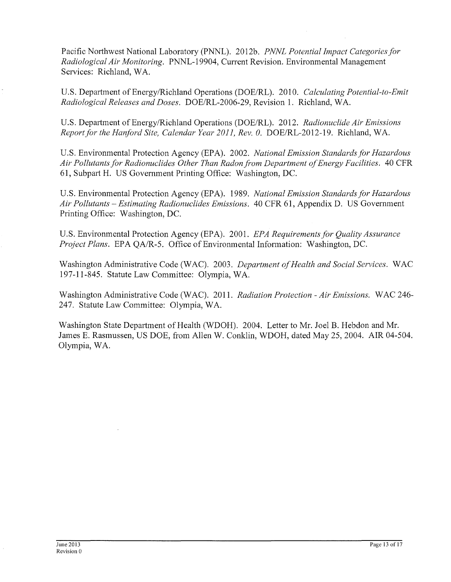Pacific Northwest National Laboratory (PNNL). 2012b. *PNNL Potential Impact Categories for Radiological Air Monitoring.* PNNL-19904, Current Revision. Environmental Management Services: Richland, WA.

U.S. Department of Energy/Richland Operations (DOE/RL). 2010. *Calculating Potential-to-Emit Radiological Releases and Doses.* DOE/RL-2006-29, Revision 1. Richland, WA.

U.S. Department of Energy/Richland Operations (DOE/RL). 2012. *Radionuclide Air Emissions Report for the Hanford Site, Calendar Year 201 I, Rev. 0.* DOE/RL-2012-19. Richland, WA.

U.S. Environmental Protection Agency (EPA). 2002. *National Emission Standards for Hazardous Air Pollutants for Radionuclides Other Than Radonfi'om Department of Energy Facilities.* 40 CFR 61, Subpart H. US Government Printing Office: Washington, DC.

U.S. Environmental Protection Agency (EPA). 1989. *National Emission Standards/or Hazardous Air Pollutants* - *Estimating Radionuclides Emissions.* 40 CFR 61, Appendix D. US Government Printing Office: Washington, DC.

U.S. Environmental Protection Agency (EPA). 2001. *EPA Requirements for Quality Assurance Project Plans.* EPA QA/R-5. Office of Environmental Information: Washington, DC.

Washington Administrative Code (WAC). 2003. *Department of Health and Social Services.* WAC 197-11-845. Statute Law Committee: Olympia, WA.

Washington Administrative Code (WAC). 2011. *Radiation Protection -Air Emissions.* WAC 246- 247. Statute Law Committee: Olympia, WA.

Washington State Department of Health (WDOH). 2004. Letter to Mr. Joel B. Hebdon and Mr. James E. Rasmussen, US DOE, from Allen W. Conklin, WDOH, dated May 25, 2004. AIR 04-504. Olympia, WA.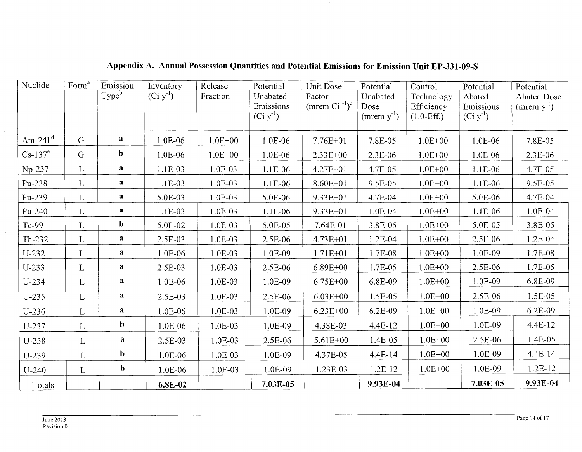| Nuclide     | Form <sup>a</sup> | Emission<br>Type <sup>b</sup> | Inventory<br>$(Ci y-1)$ | Release<br>Fraction | Potential<br>Unabated<br>Emissions<br>$(Ci y-1)$ | Unit Dose<br>Factor<br>(mrem Ci $^{-1}$ ) <sup>c</sup> | Potential<br>Unabated<br>Dose<br>(mrem $y^{-1}$ ) | Control<br>Technology<br>Efficiency<br>$(1.0-Eff.)$ | Potential<br>Abated<br>Emissions<br>$(Ci y-1)$ | Potential<br><b>Abated Dose</b><br>(mrem $y^{-1}$ ) |
|-------------|-------------------|-------------------------------|-------------------------|---------------------|--------------------------------------------------|--------------------------------------------------------|---------------------------------------------------|-----------------------------------------------------|------------------------------------------------|-----------------------------------------------------|
| Am-24 $1^d$ | G                 | a                             | 1.0E-06                 | $1.0E + 00$         | 1.0E-06                                          | $7.76E + 01$                                           | 7.8E-05                                           | $1.0E + 00$                                         | 1.0E-06                                        | 7.8E-05                                             |
| $Cs-137e$   | $\mathbf G$       | $\mathbf b$                   | 1.0E-06                 | $1.0E + 00$         | 1.0E-06                                          | 2.33E+00                                               | 2.3E-06                                           | $1.0E + 00$                                         | 1.0E-06                                        | 2.3E-06                                             |
| $Np-237$    | $\mathbf{L}$      | a                             | 1.1E-03                 | 1.0E-03             | 1.1E-06                                          | 4.27E+01                                               | 4.7E-05                                           | $1.0E + 00$                                         | 1.1E-06                                        | 4.7E-05                                             |
| Pu-238      | L                 | $\mathbf{a}$                  | 1.1E-03                 | 1.0E-03             | 1.1E-06                                          | $8.60E + 01$                                           | 9.5E-05                                           | $1.0E + 00$                                         | 1.1E-06                                        | 9.5E-05                                             |
| Pu-239      | $\mathbf{L}$      | $\mathbf{a}$                  | 5.0E-03                 | 1.0E-03             | 5.0E-06                                          | $9.33E + 01$                                           | 4.7E-04                                           | $1.0E + 00$                                         | 5.0E-06                                        | 4.7E-04                                             |
| $Pu-240$    | $\mathbf{L}$      | $\mathbf{a}$                  | 1.1E-03                 | 1.0E-03             | 1.1E-06                                          | 9.33E+01                                               | 1.0E-04                                           | $1.0E + 00$                                         | 1.1E-06                                        | 1.0E-04                                             |
| Tc-99       | L                 | $\mathbf b$                   | 5.0E-02                 | 1.0E-03             | 5.0E-05                                          | 7.64E-01                                               | 3.8E-05                                           | $1.0E + 00$                                         | 5.0E-05                                        | 3.8E-05                                             |
| Th-232      | $\mathbf{L}$      | a                             | 2.5E-03                 | 1.0E-03             | 2.5E-06                                          | $4.73E + 01$                                           | 1.2E-04                                           | $1.0E + 00$                                         | 2.5E-06                                        | 1.2E-04                                             |
| U-232       | L                 | a                             | 1.0E-06                 | $1.0E-03$           | 1.0E-09                                          | $1.71E + 01$                                           | 1.7E-08                                           | $1.0E + 00$                                         | 1.0E-09                                        | 1.7E-08                                             |
| $U-233$     | L                 | a                             | 2.5E-03                 | 1.0E-03             | 2.5E-06                                          | $6.89E + 00$                                           | 1.7E-05                                           | $1.0E + 00$                                         | 2.5E-06                                        | 1.7E-05                                             |
| $U-234$     | L                 | a                             | 1.0E-06                 | $1.0E-03$           | 1.0E-09                                          | $6.75E + 00$                                           | 6.8E-09                                           | $1.0E + 00$                                         | 1.0E-09                                        | 6.8E-09                                             |
| $U-235$     | $\mathbf{L}$      | $\mathbf{a}$                  | 2.5E-03                 | 1.0E-03             | 2.5E-06                                          | $6.03E + 00$                                           | 1.5E-05                                           | $1.0E + 00$                                         | 2.5E-06                                        | 1.5E-05                                             |
| $U-236$     | L                 | $\mathbf{a}$                  | 1.0E-06                 | 1.0E-03             | 1.0E-09                                          | $6.23E + 00$                                           | 6.2E-09                                           | $1.0E + 00$                                         | 1.0E-09                                        | 6.2E-09                                             |
| U-237       | L                 | $\mathbf b$                   | 1.0E-06                 | 1.0E-03             | 1.0E-09                                          | 4.38E-03                                               | 4.4E-12                                           | $1.0E + 00$                                         | 1.0E-09                                        | 4.4E-12                                             |
| U-238       | L                 | $\mathbf{a}$                  | 2.5E-03                 | 1.0E-03             | 2.5E-06                                          | $5.61E + 00$                                           | 1.4E-05                                           | $1.0E + 00$                                         | 2.5E-06                                        | 1.4E-05                                             |
| $U-239$     | L                 | $\mathbf b$                   | 1.0E-06                 | 1.0E-03             | 1.0E-09                                          | 4.37E-05                                               | 4.4E-14                                           | $1.0E + 00$                                         | 1.0E-09                                        | 4.4E-14                                             |
| $U-240$     | $\mathbf{L}$      | $\mathbf b$                   | 1.0E-06                 | $1.0E-03$           | 1.0E-09                                          | 1.23E-03                                               | $1.2E-12$                                         | $1.0E + 00$                                         | 1.0E-09                                        | 1.2E-12                                             |
| Totals      |                   |                               | 6.8E-02                 |                     | 7.03E-05                                         |                                                        | 9.93E-04                                          |                                                     | 7.03E-05                                       | 9.93E-04                                            |

**Appendix A. Annual Possession Quantities and Potential Emissions for Emission Unit EP-331-09-S** 

 $\lambda$ 

 $\sim$ 

 $\epsilon$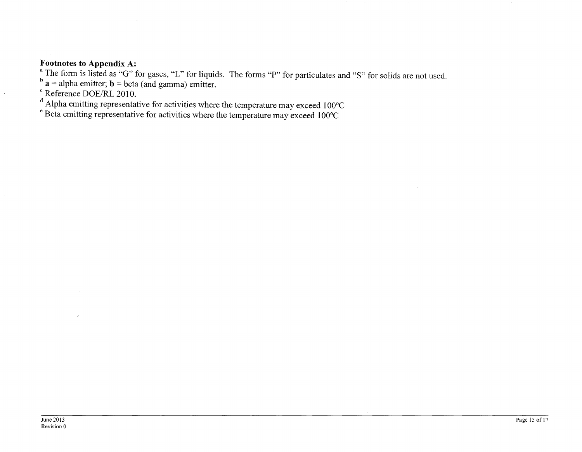#### **Footnotes to Appendix A:**

The form is listed as "G" for gases, "L" for liquids. The forms "P" for particulates and "S" for solids are not used.

 $\mathbf{a}$  = alpha emitter; **b** = beta (and gamma) emitter.

Reference DOE/RL 2010.

 $\degree$  Alpha emitting representative for activities where the temperature may exceed 100 $\degree$ C

 $\degree$  Beta emitting representative for activities where the temperature may exceed 100 $\degree$ C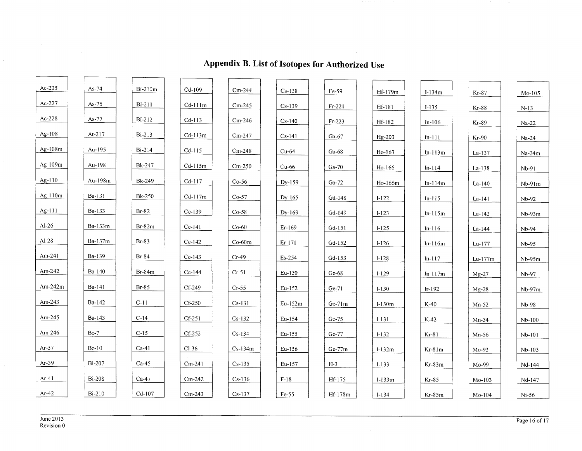| $Ac-225$   | As-74         | Bi-210m       | $Cd-109$  | $Cm-244$  | $Cs-138$ | Fe-59    | Hf-179m   | $I-134m$  | $Kr-87$   | $Mo-105$ |
|------------|---------------|---------------|-----------|-----------|----------|----------|-----------|-----------|-----------|----------|
| Ac-227     | As- $76$      | $Bi-211$      | $Cd-111m$ | $Cm-245$  | $Cs-139$ | $Fr-221$ | Hf-181    | $I-135$   | $Kr-88$   | $N-13$   |
| $Ac-228$   | As-77         | $Bi-212$      | $Cd-113$  | $Cm-246$  | $Cs-140$ | $Fr-223$ | Hf-182    | $In-106$  | Kr-89     | $Na-22$  |
| Ag- $108$  | At-217        | $Bi-213$      | $Cd-113m$ | $Cm-247$  | $Cs-141$ | $Ga-67$  | Hg-203    | $In-111$  | Kr-90     | $Na-24$  |
| Ag-108m    | Au-195        | $Bi-214$      | $Cd-115$  | $Cm-248$  | $Cu-64$  | Ga-68    | $Ho-163$  | $In-113m$ | $La-137$  | $Na-24m$ |
| Ag-109m    | Au-198        | <b>Bk-247</b> | $Cd-115m$ | $Cm-250$  | $Cu-66$  | $Ga-70$  | $Ho-166$  | $In-114$  | $La-138$  | Nb-91    |
| Ag-110     | Au-198m       | Bk-249        | $Cd-117$  | $Co-56$   | Dy-159   | $Ga-72$  | Ho-166m   | $In-114m$ | $La-140$  | Nb-91m   |
| Ag-110m    | Ba-131        | <b>Bk-250</b> | $Cd-117m$ | $Co-57$   | $Dy-165$ | $Gd-148$ | $I-122$   | $In-115$  | $La-141$  | $Nb-92$  |
| Ag-111     | Ba-133        | $Br-82$       | Ce-139    | $Co-58$   | $Dy-169$ | $Gd-149$ | $I - 123$ | $ln-115m$ | $La-142$  | $Nb-93m$ |
| $AI-26$    | Ba-133m       | $Br-82m$      | $Ce-141$  | $Co-60$   | $Er-169$ | $Gd-151$ | $I-125$   | $In-116$  | $La-144$  | $Nb-94$  |
| $AI-28$    | Ba-137m       | $Br-83$       | $Ce-142$  | $Co-60m$  | $Er-171$ | Gd-152   | $I-126$   | $In-116m$ | Lu-177    | Nb-95    |
| Am-24 $l$  | Ba-139        | $B_1-84$      | $Ce-143$  | $Cr-49$   | Es-254   | Gd-153   | $I-128$   | $In-117$  | $Lu-177m$ | $Nb-95m$ |
| Am-242     | Ba-140        | $Br-84m$      | $Ce-144$  | $Cr-51$   | $Eu-150$ | $Ge-68$  | $I-129$   | $In-117m$ | $Mg-27$   | Nb-97    |
| Am- $242m$ | Ba-141        | $Br-85$       | Cf-249    | $Cr-55$   | $Eu-152$ | $Ge-71$  | $I-130$   | $Ir-192$  | $Mg-28$   | $Nb-97m$ |
| Am- $243$  | Ba-142        | $C-11$        | $Cf-250$  | $Cs-131$  | Eu-152m  | $Ge-71m$ | $I-130m$  | $K-40$    | $Mn-52$   | Nb-98    |
| Am-245     | Ba-143        | $C-14$        | $Cf-251$  | $Cs-132$  | Eu-154   | Ge-75    | $I-131$   | $K-42$    | $Mn-54$   | $Nb-100$ |
| Am-246     | $Be-7$        | $C-15$        | Cf-252    | $Cs-134$  | Eu-155   | Ge-77    | $I-132$   | Kr-81     | $Mn-56$   | Nb-101   |
| $Ar-37$    | $Be-10$       | $Ca-41$       | $Cl-36$   | $Cs-134m$ | $Eu-156$ | Ge-77m   | $I-132m$  | $Kr-81m$  | Mo-93     | $Nb-103$ |
| $Ar-39$    | <b>Bi-207</b> | $Ca-45$       | $Cm-241$  | $Cs-135$  | Eu-157   | $H-3$    | $I-133$   | Kr-83m    | Mo-99     | Nd-144   |
| $Ar-41$    | $Bi-208$      | $Ca-47$       | $Cm-242$  | $Cs-136$  | $F-18$   | Hf-175   | $I-133m$  | $Kr-85$   | $Mo-103$  | Nd-147   |
| Ar- $42$   | <b>Bi-210</b> | $Cd-107$      | $Cm-243$  | $Cs-137$  | $Fe-55$  | Hf-178m  | $I-134$   | $Kr-85m$  | Mo-104    | $Ni-56$  |

# **Appendix B. List of Isotopes for Authorized Use**

 $\mathcal{L}$ 

 $\sim 10^{-1}$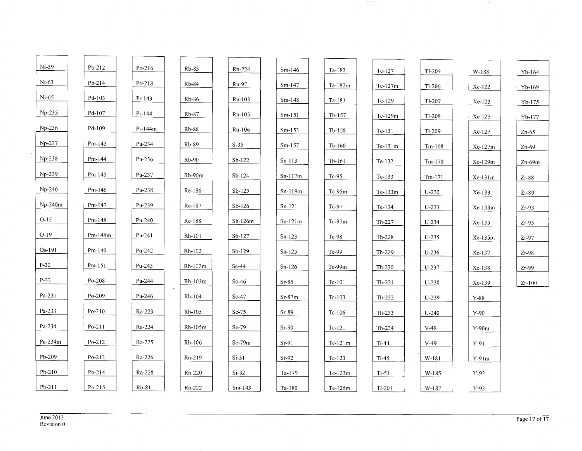| $Ni-59$  | $Pb-212$ | Po-216    | $Rb-83$   | Rn-224    | $Sm-146$  | Ta-182    | Te-127    | $Tl-204$ | W-188     | Yb-164   |
|----------|----------|-----------|-----------|-----------|-----------|-----------|-----------|----------|-----------|----------|
| $Ni-63$  | $Pb-214$ | $Po-218$  | Rb-84     | Ru-97     | $Sm-147$  | $Ta-182m$ | $Te-127m$ | $Tl-206$ | Xe-122    | $Yb-169$ |
| $Ni-65$  | Pd-103   | $Pr-143$  | $Rb-86$   | Ru-103    | $Sm-148$  | Ta-183    | Te-129    | $TI-207$ | Xe-123    | $Yb-175$ |
| Np-235   | Pd-107   | $Pr-144$  | $Rb-87$   | Ru-105    | $Sm-151$  | $Tb-157$  | Te-129m   | $T1-208$ | $Xe-125$  | Yb-177   |
| Np-236   | Pd-109   | $Pr-144m$ | $Rb-88$   | Ru-106    | $Sm-153$  | $Tb-158$  | $Te-131$  | $TI-209$ | Xe-127    | $Zn-65$  |
| Np-237   | $Pm-143$ | Pu-234    | $Rb-89$   | $S-35$    | $Sm-157$  | $Tb-160$  | $Te-131m$ | $Tm-168$ | $Xe-127m$ | $Zn-69$  |
| Np-238   | $Pm-144$ | Pu-236    | $Rb-90$   | $Sb-122$  | $Sn-113$  | $Tb-161$  | $Te-132$  | $Tm-170$ | $Xe-129m$ | $Zn-69m$ |
| Np-239   | $Pm-145$ | Pu-237    | Rb-90m    | $Sb-124$  | $Sn-117m$ | $Tc-95$   | Te-133    | $Tm-17I$ | Xe-131m   | $Zr-88$  |
| Np-240   | Pm-146   | Pu-238    | Re-186    | $Sb-125$  | $Sn-119m$ | $Tc-95m$  | $Te-133m$ | $U-232$  | Xe-133    | $Zr-89$  |
| Np-240m  | $Pm-147$ | Pu-239    | Re-187    | $Sb-126$  | $Sn-121$  | Tc-97     | Te-134    | $U-233$  | $Xe-133m$ | $Zr-93$  |
| $O-15$   | $Pm-148$ | Pu-240    | Re-188    | $Sb-126m$ | $Sn-121m$ | $Tc-97m$  | $Th-227$  | $U-234$  | Xe-135    | $Zr-95$  |
| O-19     | Pm-148m  | Pu-241    | $Rh-101$  | $Sb-127$  | $Sn-123$  | $Tc-98$   | $Th-228$  | $U-235$  | $Xe-135m$ | $Zr-97$  |
| Os-191   | $Pm-149$ | Pu-242    | Rh-102    | $Sb-129$  | $Sn-125$  | Tc-99     | $Th-229$  | $U-236$  | Xe-137    | $Zr-98$  |
| $P-32$   | $Pm-151$ | Pu-243    | Rh-102m   | $Sc-44$   | $Sn-126$  | $Tc-99m$  | $Th-230$  | $U-237$  | Xe-138    | $Zr-99$  |
| $P-33$   | $Po-208$ | Pu-244    | $Rh-103m$ | $Sc-46$   | $Sr-85$   | Tc-101    | $Th-231$  | $U-238$  | Xe-139    | $Zr-100$ |
| Pa-231   | $Po-209$ | Pu-246    | $Rh-104$  | $Sc-47$   | $Sr-87m$  | $Tc-103$  | $Th-232$  | U-239    | $Y-88$    |          |
| Pa-233   | $Po-210$ | Ra-223    | Rh-105    | $Se-75$   | $Sr-89$   | $Tc-106$  | $Th-233$  | $U-240$  | $Y-90$    |          |
| Pa-234   | $Po-211$ | Ra-224    | Rh-105m   | $Se-79$   | $Sr-90$   | $Te-121$  | $Th-234$  | $V-48$   | $Y-90m$   |          |
| Pa-234m  | $Po-212$ | Ra-225    | Rh-106    | Se-79m    | $Sr-91$   | $Te-121m$ | $Ti-44$   | $V-49$   | Y-91      |          |
| Pb-209   | $Po-213$ | Ra-226    | Rn-219    | $Si-31$   | $Sr-92$   | $Te-123$  | $Ti-45$   | W-181    | $Y-91m$   |          |
| $Pb-210$ | $Po-214$ | Ra-228    | $Rn-220$  | $Si-32$   | Ta-179    | $Te-I23m$ | $Ti-51$   | W-185    | $Y-92$    |          |
| Pb-211   | $Po-215$ | $Rb-81$   | Rn-222    | $Sm-145$  | $Ta-180$  | $Te-125m$ | $TI-201$  | W-187    | $Y-93$    |          |

 $\sim$   $\sim$ 

 $\mathcal{L}_{\mathcal{A}}$ 

 $\epsilon$ 

÷